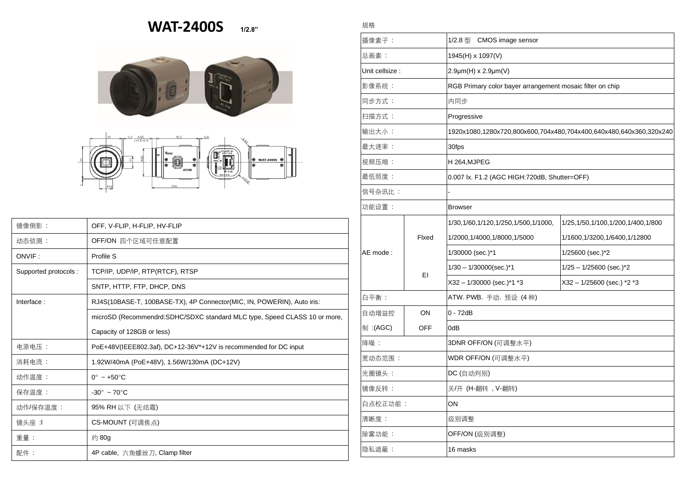## **WAT-2400S 1/2.8"**

規格





| 镜像倒影:                | OFF, V-FLIP, H-FLIP, HV-FLIP                                               |  |  |
|----------------------|----------------------------------------------------------------------------|--|--|
| 动态侦测:                | OFF/ON 四个区域可任意配置                                                           |  |  |
| ONVIF:               | Profile S                                                                  |  |  |
| Supported protocols: | TCP/IP, UDP/IP, RTP(RTCF), RTSP                                            |  |  |
|                      | SNTP, HTTP, FTP, DHCP, DNS                                                 |  |  |
| Interface:           | RJ4S(10BASE-T, 100BASE-TX), 4P Connector(MIC, IN, POWERIN), Auto iris:     |  |  |
|                      | microSD (Recommendrd: SDHC/SDXC standard MLC type, Speed CLASS 10 or more, |  |  |
|                      | Capacity of 128GB or less)                                                 |  |  |
| 电源电压:                | PoE+48V(IEEE802.3af), DC+12-36V*+12V is recommended for DC input           |  |  |
| 消耗电流:                | 1.92W/40mA (PoE+48V), 1.56W/130mA (DC+12V)                                 |  |  |
| 动作温度:                | $0^{\circ}$ ~ +50 $^{\circ}$ C                                             |  |  |
| 保存温度:                | $-30^\circ \sim 70^\circ \text{C}$                                         |  |  |
| 动作/保存温度:             | 95% RH 以下 (无结霜)                                                            |  |  |
| 镜头座 :1               | CS-MOUNT (可调焦点)                                                            |  |  |
| 重量:                  | 约 80g                                                                      |  |  |
| 配件:                  | 4P cable, 六角螺丝刀, Clamp filter                                              |  |  |

| 摄像素子:           |             | 1/2.8 型 CMOS image sensor                                          |                                        |  |
|-----------------|-------------|--------------------------------------------------------------------|----------------------------------------|--|
| 总画素:            |             | 1945(H) x 1097(V)                                                  |                                        |  |
| Unit cellsize : |             | 2.9µm(H) x 2.9µm(V)                                                |                                        |  |
| 影像系统:           |             | RGB Primary color bayer arrangement mosaic filter on chip          |                                        |  |
| 同步方式:           |             | 内同步                                                                |                                        |  |
| 扫描方式:           |             | Progressive                                                        |                                        |  |
| 输出大小:           |             | 1920x1080,1280x720,800x600,704x480,704x400,640x480,640x360,320x240 |                                        |  |
| 最大速率:           |             | 30fps                                                              |                                        |  |
| 视频压缩:           |             | H 264,MJPEG                                                        |                                        |  |
| 最低照度:           |             | 0.007 lx. F1.2 (AGC HIGH:720dB, Shutter=OFF)                       |                                        |  |
| 信号杂讯比:          |             |                                                                    |                                        |  |
| 功能设置:           |             | Browser                                                            |                                        |  |
| AE mode:        | Flxed<br>EI | 1/30, 1/60, 1/120, 1/250, 1/500, 1/1000,                           | 1/25, 1/50, 1/100, 1/200, 1/400, 1/800 |  |
|                 |             | 1/2000, 1/4000, 1/8000, 1/5000                                     | 1/1600,1/3200,1/6400,1/12800           |  |
|                 |             | 1/30000 (sec.)*1                                                   | 1/25600 (sec.)*2                       |  |
|                 |             | $1/30 - 1/30000$ (sec.)*1                                          | $1/25 - 1/25600$ (sec.) <sup>*</sup> 2 |  |
|                 |             | X32 - 1/30000 (sec.)*1 *3                                          | X32 - 1/25600 (sec.) *2 *3             |  |
| 白平衡:            |             | ATW. PWB. 手动. 预设 (4 种)                                             |                                        |  |
| 自动增益控           | ON          | $0 - 72dB$                                                         |                                        |  |
| 制:(AGC)         | <b>OFF</b>  | 0dB                                                                |                                        |  |
| 降噪:             |             | 3DNR OFF/ON (可调整水平)                                                |                                        |  |
| 宽动态范围:          |             | WDR OFF/ON (可调整水平)                                                 |                                        |  |
| 光圈镜头:           |             | DC (自动判别)                                                          |                                        |  |
| 镜像反转:           |             | 关/开 (H-翻转, V-翻转)                                                   |                                        |  |
| 白点校正功能:         |             | ON                                                                 |                                        |  |
| 清晰度:            |             | 级别调整                                                               |                                        |  |
| 除雾功能:           |             | OFF/ON (级别调整)                                                      |                                        |  |
| 隐私遮蔽:           |             | 16 masks                                                           |                                        |  |